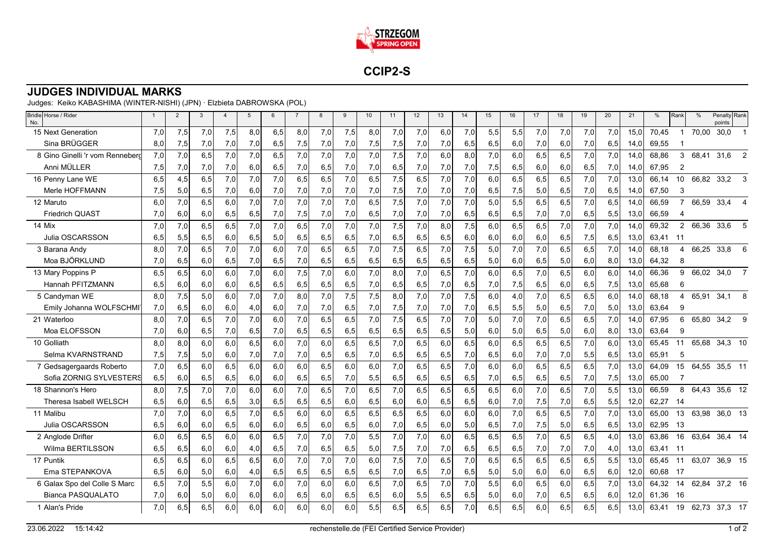

**CCIP2-S**

## **JUDGES INDIVIDUAL MARKS**

Judges: Keiko KABASHIMA (WINTER-NISHI) (JPN) · Elzbieta DABROWSKA (POL)

| Bridle Horse / Rider<br>No.     | $\overline{1}$ | 2   | 3    | $\overline{4}$ | $5^{\circ}$ | 6   | $\overline{7}$ | 8   | 9   | 10  | 11   | 12  | 13   | 14  | 15  | 16  | 17  | 18  | 19   | 20   | 21   | %     | Rank           | $\%$  | Penalty Rank<br>points |                |
|---------------------------------|----------------|-----|------|----------------|-------------|-----|----------------|-----|-----|-----|------|-----|------|-----|-----|-----|-----|-----|------|------|------|-------|----------------|-------|------------------------|----------------|
| 15 Next Generation              | 7,0            | 7,5 | 7,0  | 7,5            | 8.0         | 6.5 | 8,0            | 7,0 | 7,5 | 8,0 | 7,0  | 7,0 | 6,0  | 7,0 | 5,5 | 5,5 | 7,0 | 7,0 | 7,0  | 7,0  | 15.0 | 70.45 | $\mathbf 1$    | 70,00 | 30,0                   |                |
| Sina BRÜGGER                    | 8,0            | 7,5 | 7,0  | 7,0            | 7,0         | 6,5 | 7,5            | 7,0 | 7,0 | 7,5 | 7,5  | 7,0 | 7,0  | 6.5 | 6,5 | 6,0 | 7,0 | 6,0 | 7,0  | 6,5  | 14,0 | 69.55 |                |       |                        |                |
| 8 Gino Ginelli 'r vom Renneberd | 7,0            | 7,0 | 6,5  | 7,0            | 7,0         | 6,5 | 7,0            | 7,0 | 7,0 | 7,0 | 7,5  | 7,0 | 6,0  | 8,0 | 7,0 | 6,0 | 6,5 | 6,5 | 7,0  | 7,0  | 14,0 | 68,86 | 3              | 68,41 | 31,6                   | 2              |
| Anni MÜLLER                     | 7,5            | 7,0 | 7,0  | 7,0            | 6,0         | 6,5 | 7,0            | 6,5 | 7,0 | 7,0 | 6,5  | 7,0 | 7,0  | 7,0 | 7,5 | 6,5 | 6,0 | 6,0 | 6,5  | 7,0  | 14,0 | 67,95 | 2              |       |                        |                |
| 16 Penny Lane WE                | 6,5            | 4,5 | 6,5  | 7,0            | 7,0         | 7,0 | 6,5            | 6,5 | 7,0 | 6,5 | 7,5  | 6.5 | 7.0  | 7.0 | 6,0 | 6,5 | 6,5 | 6,5 | 7.0  | 7,0  | 13.0 | 66.14 | 10             | 66,82 | 33,2                   | 3              |
| Merle HOFFMANN                  | 7,5            | 5,0 | 6,5  | 7,0            | 6,0         | 7,0 | 7,0            | 7,0 | 7,0 | 7,0 | 7,5  | 7,0 | 7,0  | 7,0 | 6,5 | 7,5 | 5,0 | 6,5 | 7,0  | 6,5  | 14,0 | 67,50 | 3              |       |                        |                |
| 12 Maruto                       | 6,0            | 7,0 | 6,5  | 6,0            | 7,0         | 7,0 | 7,0            | 7,0 | 7,0 | 6,5 | 7,5  | 7,0 | 7,0  | 7,0 | 5,0 | 5,5 | 6,5 | 6,5 | 7,0  | 6,5  | 14.0 | 66,59 | $\overline{7}$ | 66,59 | 33,4                   |                |
| <b>Friedrich QUAST</b>          | 7,0            | 6,0 | 6,0  | 6,5            | 6,5         | 7,0 | 7,5            | 7,0 | 7,0 | 6,5 | 7,0  | 7,0 | 7,0  | 6,5 | 6,5 | 6,5 | 7,0 | 7,0 | 6,5  | 5,5  | 13,0 | 66,59 |                |       |                        |                |
| 14 Mix                          | 7,0            | 7,0 | 6.5  | 6.5            | 7.0         | 7.0 | 6,5            | 7,0 | 7,0 | 7.0 | 7,5  | 7,0 | 8.0  | 7,5 | 6.0 | 6,5 | 6,5 | 7,0 | 7.0  | 7,0  | 14.0 | 69.32 | $\overline{2}$ | 66,36 | 33.6                   | 5              |
| Julia OSCARSSON                 | 6,5            | 5,5 | 6,5  | 6,0            | 6,5         | 5,0 | 6,5            | 6,5 | 6,5 | 7,0 | 6,5  | 6,5 | 6,5  | 6,0 | 6,0 | 6,0 | 6,0 | 6,5 | 7,5  | 6,5  | 13,0 | 63,41 | - 11           |       |                        |                |
| 3 Barana Andy                   | 8,0            | 7,0 | 6,5  | 7,0            | 7,0         | 6.0 | 7,0            | 6,5 | 6,5 | 7.0 | 7,5  | 6.5 | 7,0  | 7,5 | 5,0 | 7,0 | 7,0 | 6,5 | 6,5  | 7,0  | 14.0 | 68,18 | 4              | 66,25 | 33,8                   | 6              |
| Moa BJÖRKLUND                   | 7,0            | 6,5 | 6,0  | 6,5            | 7,0         | 6,5 | 7,0            | 6,5 | 6,5 | 6,5 | 6,5  | 6,5 | 6,5  | 6,5 | 5,0 | 6,0 | 6,5 | 5,0 | 6,0  | 8,0  | 13,0 | 64,32 | 8              |       |                        |                |
| 13 Mary Poppins P               | 6,5            | 6,5 | 6,0  | 6,0            | 7,0         | 6,0 | 7,5            | 7,0 | 6,0 | 7,0 | 8,0  | 7,0 | 6, 5 | 7,0 | 6,0 | 6,5 | 7,0 | 6,5 | 6,0  | 6,0  | 14.0 | 66,36 | 9              | 66,02 | 34,0                   | $\overline{7}$ |
| Hannah PFITZMANN                | 6,5            | 6,0 | 6,0  | 6,0            | 6,5         | 6,5 | 6,5            | 6,5 | 6,5 | 7,0 | 6,5  | 6,5 | 7,0  | 6,5 | 7,0 | 7,5 | 6,5 | 6,0 | 6,5  | 7,5  | 13,0 | 65,68 | 6              |       |                        |                |
| 5 Candyman WE                   | 8.0            | 7,5 | 5,0  | 6.0            | 7,0         | 7,0 | 8,0            | 7,0 | 7,5 | 7,5 | 8,0  | 7,0 | 7,0  | 7,5 | 6,0 | 4,0 | 7,0 | 6,5 | 6,5  | 6,0  | 14.0 | 68,18 | 4              | 65.91 | 34,1                   | 8              |
| Emily Johanna WOLFSCHMI         | 7,0            | 6,5 | 6,0  | 6,0            | 4,0         | 6,0 | 7,0            | 7,0 | 6,5 | 7,0 | 7,5  | 7,0 | 7,0  | 7,0 | 6,5 | 5,5 | 5,0 | 6,5 | 7,0  | 5,0  | 13,0 | 63,64 | 9              |       |                        |                |
| 21 Waterloo                     | 8,0            | 7,0 | 6,5  | 7,0            | 7,0         | 6.0 | 7,0            | 6,5 | 6,5 | 7.0 | 7,5  | 6,5 | 7,0  | 7,0 | 5,0 | 7,0 | 7,0 | 6,5 | 6,5  | 7,0  | 14.0 | 67,95 | 6              | 65,80 | 34,2                   | 9              |
| Moa ELOFSSON                    | 7,0            | 6,0 | 6,5  | 7,0            | 6,5         | 7,0 | 6,5            | 6,5 | 6,5 | 6,5 | 6,5  | 6,5 | 6,5  | 5,0 | 6,0 | 5,0 | 6,5 | 5,0 | 6,0  | 8,0  | 13,0 | 63,64 | 9              |       |                        |                |
| 10 Golliath                     | 8.0            | 8,0 | 6,0  | 6.0            | 6,5         | 6,0 | 7,0            | 6,0 | 6,5 | 6,5 | 7,0  | 6,5 | 6,0  | 6,5 | 6,0 | 6,5 | 6,5 | 6,5 | 7,0  | 6,0  | 13,0 | 65,45 | 11             | 65,68 | 34,3 10                |                |
| Selma KVARNSTRAND               | 7,5            | 7,5 | 5,0  | 6,0            | 7,0         | 7,0 | 7,0            | 6,5 | 6,5 | 7,0 | 6,5  | 6,5 | 6,5  | 7,0 | 6,5 | 6,0 | 7,0 | 7,0 | 5,5  | 6,5  | 13,0 | 65,91 | 5              |       |                        |                |
| 7 Gedsagergaards Roberto        | 7,0            | 6,5 | 6.0  | 6,5            | 6.0         | 6,0 | 6,0            | 6,5 | 6,0 | 6.0 | 7,0  | 6.5 | 6,5  | 7,0 | 6,0 | 6,0 | 6,5 | 6,5 | 6,5  | 7,0  | 13.0 | 64.09 | 15             | 64,55 | 35,5 11                |                |
| Sofia ZORNIG SYLVESTERS         | 6,5            | 6,0 | 6,5  | 6,5            | 6,0         | 6,0 | 6,5            | 6,5 | 7,0 | 5,5 | 6,5  | 6,5 | 6,5  | 6,5 | 7,0 | 6,5 | 6,5 | 6,5 | 7,0  | 7,5  | 13,0 | 65.00 | 7              |       |                        |                |
| 18 Shannon's Hero               | 8,0            | 7,5 | 7,0  | 7,0            | 6,0         | 6,0 | 7,0            | 6,5 | 7,0 | 6,5 | 7,0  | 6,5 | 6, 5 | 6,5 | 6,5 | 6,0 | 7,0 | 6,5 | 7,0  | 5,5  | 13,0 | 66,59 | 8              | 64,43 | 35,6 12                |                |
| Theresa Isabell WELSCH          | 6,5            | 6,0 | 6,5  | 6, 5           | 3,0         | 6,5 | 6,5            | 6,5 | 6,0 | 6,5 | 6,0  | 6,0 | 6,5  | 6,5 | 6,0 | 7,0 | 7,5 | 7,0 | 6,5  | 5,5  | 12,0 | 62,27 | -14            |       |                        |                |
| 11 Malibu                       | 7,0            | 7,0 | 6,0  | 6,5            | 7,0         | 6.5 | 6,0            | 6,0 | 6,5 | 6,5 | 6,5  | 6.5 | 6,0  | 6.0 | 6,0 | 7,0 | 6,5 | 6,5 | 7,0  | 7,0  | 13.0 | 65.00 | 13             | 63,98 | 36,0 13                |                |
| Julia OSCARSSON                 | 6,5            | 6,0 | 6,0  | 6,5            | 6,0         | 6,0 | 6,5            | 6,0 | 6,5 | 6,0 | 7,0  | 6,5 | 6,0  | 5,0 | 6,5 | 7,0 | 7,5 | 5,0 | 6,5  | 6,5  | 13,0 | 62,95 | 13             |       |                        |                |
| 2 Anglode Drifter               | 6,0            | 6,5 | 6,5  | 6,0            | 6.0         | 6,5 | 7,0            | 7,0 | 7,0 | 5,5 | 7,0  | 7,0 | 6,0  | 6,5 | 6,5 | 6,5 | 7,0 | 6,5 | 6,5  | 4,0  | 13,0 | 63,86 | 16             | 63,64 | 36,4 14                |                |
| Wilma BERTILSSON                | 6.5            | 6,5 | 6,0  | 6,0            | 4,0         | 6,5 | 7,0            | 6,5 | 6,5 | 5,0 | 7,5  | 7,0 | 7,0  | 6,5 | 6,5 | 6,5 | 7,0 | 7,0 | 7,0  | 4,0  | 13,0 | 63.41 | - 11           |       |                        |                |
| 17 Puntik                       | 6,5            | 6,5 | 6,0  | 6, 5           | 6,5         | 6.0 | 7,0            | 7,0 | 7,0 | 6,0 | 7,5  | 7,0 | 6, 5 | 7,0 | 6,5 | 6,5 | 6,5 | 6,5 | 6,5  | 5,5  | 13,0 | 65,45 | 11             | 63,07 | 36,9 15                |                |
| Ema STEPANKOVA                  | 6,5            | 6,0 | 5,0  | 6,0            | 4,0         | 6,5 | 6,5            | 6,5 | 6,5 | 6,5 | 7,0  | 6,5 | 7,0  | 6,5 | 5,0 | 5,0 | 6,0 | 6,0 | 6,5  | 6,0  | 12,0 | 60,68 | - 17           |       |                        |                |
| 6 Galax Spo del Colle S Marc    | 6,5            | 7,0 | 5,5  | 6.0            | 7,0         | 6.0 | 7,0            | 6,0 | 6,0 | 6,5 | 7,0  | 6.5 | 7,0  | 7,0 | 5,5 | 6,0 | 6,5 | 6,0 | 6,5  | 7,0  | 13.0 | 64.32 | 14             | 62.84 | 37.2 16                |                |
| Bianca PASQUALATO               | 7,0            | 6,0 | 5,0  | 6,0            | 6,0         | 6,0 | 6,5            | 6,0 | 6,5 | 6,5 | 6,0  | 5,5 | 6,5  | 6,5 | 5,0 | 6,0 | 7,0 | 6,5 | 6,5  | 6,0  | 12,0 | 61,36 | -16            |       |                        |                |
| 1 Alan's Pride                  | 7,0            | 6,5 | 6, 5 | 6,0            | 6,0         | 6,0 | 6,0            | 6,0 | 6,0 | 5,5 | 6, 5 | 6,5 | 6,5  | 7,0 | 6,5 | 6,5 | 6,0 | 6,5 | 6, 5 | 6, 5 | 13,0 | 63,41 |                |       | 19 62,73 37,3 17       |                |